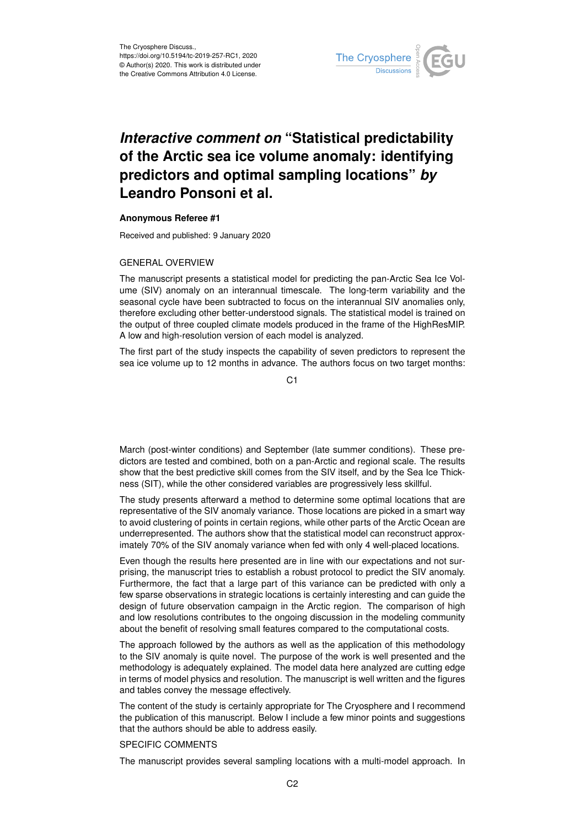

## *Interactive comment on* **"Statistical predictability of the Arctic sea ice volume anomaly: identifying predictors and optimal sampling locations"** *by* **Leandro Ponsoni et al.**

## **Anonymous Referee #1**

Received and published: 9 January 2020

## GENERAL OVERVIEW

The manuscript presents a statistical model for predicting the pan-Arctic Sea Ice Volume (SIV) anomaly on an interannual timescale. The long-term variability and the seasonal cycle have been subtracted to focus on the interannual SIV anomalies only, therefore excluding other better-understood signals. The statistical model is trained on the output of three coupled climate models produced in the frame of the HighResMIP. A low and high-resolution version of each model is analyzed.

The first part of the study inspects the capability of seven predictors to represent the sea ice volume up to 12 months in advance. The authors focus on two target months:

C<sub>1</sub>

March (post-winter conditions) and September (late summer conditions). These predictors are tested and combined, both on a pan-Arctic and regional scale. The results show that the best predictive skill comes from the SIV itself, and by the Sea Ice Thickness (SIT), while the other considered variables are progressively less skillful.

The study presents afterward a method to determine some optimal locations that are representative of the SIV anomaly variance. Those locations are picked in a smart way to avoid clustering of points in certain regions, while other parts of the Arctic Ocean are underrepresented. The authors show that the statistical model can reconstruct approximately 70% of the SIV anomaly variance when fed with only 4 well-placed locations.

Even though the results here presented are in line with our expectations and not surprising, the manuscript tries to establish a robust protocol to predict the SIV anomaly. Furthermore, the fact that a large part of this variance can be predicted with only a few sparse observations in strategic locations is certainly interesting and can guide the design of future observation campaign in the Arctic region. The comparison of high and low resolutions contributes to the ongoing discussion in the modeling community about the benefit of resolving small features compared to the computational costs.

The approach followed by the authors as well as the application of this methodology to the SIV anomaly is quite novel. The purpose of the work is well presented and the methodology is adequately explained. The model data here analyzed are cutting edge in terms of model physics and resolution. The manuscript is well written and the figures and tables convey the message effectively.

The content of the study is certainly appropriate for The Cryosphere and I recommend the publication of this manuscript. Below I include a few minor points and suggestions that the authors should be able to address easily.

## SPECIFIC COMMENTS

The manuscript provides several sampling locations with a multi-model approach. In